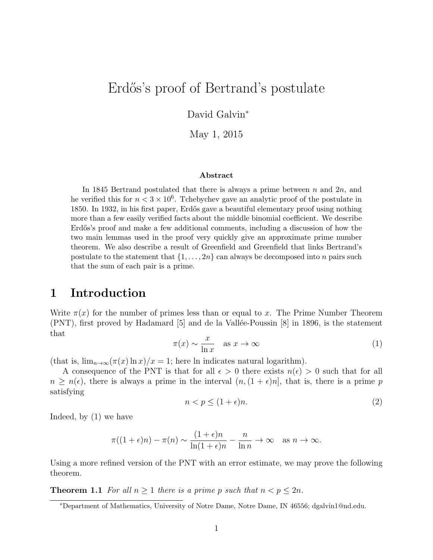# Erdős's proof of Bertrand's postulate

David Galvin<sup>∗</sup>

May 1, 2015

#### Abstract

In 1845 Bertrand postulated that there is always a prime between  $n$  and  $2n$ , and he verified this for  $n < 3 \times 10^6$ . Tchebychev gave an analytic proof of the postulate in 1850. In 1932, in his first paper, Erdős gave a beautiful elementary proof using nothing more than a few easily verified facts about the middle binomial coefficient. We describe Erdős's proof and make a few additional comments, including a discussion of how the two main lemmas used in the proof very quickly give an approximate prime number theorem. We also describe a result of Greenfield and Greenfield that links Bertrand's postulate to the statement that  $\{1, \ldots, 2n\}$  can always be decomposed into n pairs such that the sum of each pair is a prime.

#### 1 Introduction

Write  $\pi(x)$  for the number of primes less than or equal to x. The Prime Number Theorem  $(PNT)$ , first proved by Hadamard [5] and de la Vallée-Poussin [8] in 1896, is the statement that

$$
\pi(x) \sim \frac{x}{\ln x} \quad \text{as } x \to \infty \tag{1}
$$

(that is,  $\lim_{n\to\infty} (\pi(x) \ln x)/x = 1$ ; here ln indicates natural logarithm).

A consequence of the PNT is that for all  $\epsilon > 0$  there exists  $n(\epsilon) > 0$  such that for all  $n > n(\epsilon)$ , there is always a prime in the interval  $(n,(1 + \epsilon)n]$ , that is, there is a prime p satisfying

$$
n < p \le (1 + \epsilon)n. \tag{2}
$$

Indeed, by (1) we have

$$
\pi((1+\epsilon)n) - \pi(n) \sim \frac{(1+\epsilon)n}{\ln(1+\epsilon)n} - \frac{n}{\ln n} \to \infty \quad \text{as } n \to \infty.
$$

Using a more refined version of the PNT with an error estimate, we may prove the following theorem.

**Theorem 1.1** For all  $n \geq 1$  there is a prime p such that  $n < p \leq 2n$ .

<sup>∗</sup>Department of Mathematics, University of Notre Dame, Notre Dame, IN 46556; dgalvin1@nd.edu.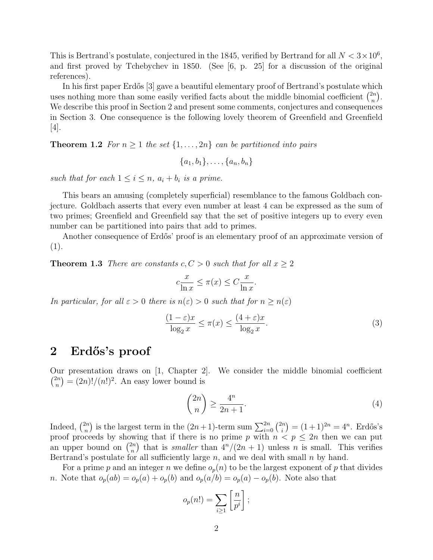This is Bertrand's postulate, conjectured in the 1845, verified by Bertrand for all  $N < 3 \times 10^6$ , and first proved by Tchebychev in 1850. (See [6, p. 25] for a discussion of the original references).

In his first paper Erdős [3] gave a beautiful elementary proof of Bertrand's postulate which uses nothing more than some easily verified facts about the middle binomial coefficient  $\binom{2n}{n}$  $\binom{2n}{n}$ . We describe this proof in Section 2 and present some comments, conjectures and consequences in Section 3. One consequence is the following lovely theorem of Greenfield and Greenfield [4].

**Theorem 1.2** For  $n \geq 1$  the set  $\{1, \ldots, 2n\}$  can be partitioned into pairs

$$
\{a_1,b_1\},\ldots,\{a_n,b_n\}
$$

such that for each  $1 \leq i \leq n$ ,  $a_i + b_i$  is a prime.

This bears an amusing (completely superficial) resemblance to the famous Goldbach conjecture. Goldbach asserts that every even number at least 4 can be expressed as the sum of two primes; Greenfield and Greenfield say that the set of positive integers up to every even number can be partitioned into pairs that add to primes.

Another consequence of Erdős' proof is an elementary proof of an approximate version of (1).

**Theorem 1.3** There are constants  $c, C > 0$  such that for all  $x \geq 2$ 

$$
c\frac{x}{\ln x} \le \pi(x) \le C\frac{x}{\ln x}.
$$

In particular, for all  $\varepsilon > 0$  there is  $n(\varepsilon) > 0$  such that for  $n \geq n(\varepsilon)$ 

$$
\frac{(1-\varepsilon)x}{\log_2 x} \le \pi(x) \le \frac{(4+\varepsilon)x}{\log_2 x}.\tag{3}
$$

#### 2 Erdős's proof

Our presentation draws on [1, Chapter 2]. We consider the middle binomial coefficient  $\binom{2n}{n}$  ${n \choose n} = (2n)!/(n!)^2$ . An easy lower bound is

$$
\binom{2n}{n} \ge \frac{4^n}{2n+1}.\tag{4}
$$

Indeed,  $\binom{2n}{n}$  $\binom{2n}{n}$  is the largest term in the  $(2n+1)$ -term sum  $\sum_{i=0}^{2n} \binom{2n}{i}$  $\binom{n}{i} = (1+1)^{2n} = 4^n$ . Erdős's proof proceeds by showing that if there is no prime p with  $n < p \leq 2n$  then we can put an upper bound on  $\binom{2n}{n}$  $\binom{2n}{n}$  that is *smaller* than  $4^n/(2n+1)$  unless *n* is small. This verifies Bertrand's postulate for all sufficiently large  $n$ , and we deal with small  $n$  by hand.

For a prime p and an integer n we define  $o_p(n)$  to be the largest exponent of p that divides n. Note that  $o_p(ab) = o_p(a) + o_p(b)$  and  $o_p(a/b) = o_p(a) - o_p(b)$ . Note also that

$$
o_p(n!) = \sum_{i \ge 1} \left[ \frac{n}{p^i} \right];
$$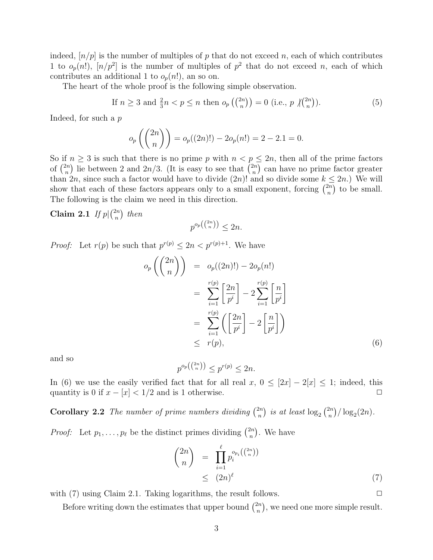indeed,  $[n/p]$  is the number of multiples of p that do not exceed n, each of which contributes 1 to  $o_p(n!)$ ,  $[n/p^2]$  is the number of multiples of  $p^2$  that do not exceed n, each of which contributes an additional 1 to  $o_p(n!)$ , an so on.

The heart of the whole proof is the following simple observation.

If 
$$
n \ge 3
$$
 and  $\frac{2}{3}n < p \le n$  then  $o_p\left(\binom{2n}{n}\right) = 0$  (i.e.,  $p \nmid \binom{2n}{n}$ ). (5)

Indeed, for such a p

$$
o_p\left(\binom{2n}{n}\right) = o_p((2n)!) - 2o_p(n!) = 2 - 2 \cdot 1 = 0.
$$

So if  $n \geq 3$  is such that there is no prime p with  $n < p \leq 2n$ , then all of the prime factors of  $\binom{2n}{n}$  $\binom{2n}{n}$  lie between 2 and  $2n/3$ . (It is easy to see that  $\binom{2n}{n}$  $\binom{2n}{n}$  can have no prime factor greater than  $2n$ , since such a factor would have to divide  $(2n)!$  and so divide some  $k \leq 2n$ .) We will show that each of these factors appears only to a small exponent, forcing  $\binom{2n}{n}$  $\binom{2n}{n}$  to be small. The following is the claim we need in this direction.

Claim 2.1 If  $p\vert \binom{2n}{n}$  $\binom{2n}{n}$  then

$$
p^{o_p\left(\binom{2n}{n}\right)} \le 2n.
$$

*Proof:* Let  $r(p)$  be such that  $p^{r(p)} \leq 2n < p^{r(p)+1}$ . We have

$$
o_p\left(\binom{2n}{n}\right) = o_p((2n)!) - 2o_p(n!)
$$
  
= 
$$
\sum_{i=1}^{r(p)} \left[\frac{2n}{p^i}\right] - 2\sum_{i=1}^{r(p)} \left[\frac{n}{p^i}\right]
$$
  
= 
$$
\sum_{i=1}^{r(p)} \left(\left[\frac{2n}{p^i}\right] - 2\left[\frac{n}{p^i}\right]\right)
$$
  
\$\leq r(p),\$ (6)

and so

$$
p^{o_p\left(\binom{2n}{n}\right)} \le p^{r(p)} \le 2n.
$$

In (6) we use the easily verified fact that for all real x,  $0 \leq [2x] - 2[x] \leq 1$ ; indeed, this quantity is 0 if  $x - |x| < 1/2$  and is 1 otherwise.  $\Box$ 

**Corollary 2.2** The number of prime numbers dividing  $\binom{2n}{n}$  $\binom{2n}{n}$  is at least  $\log_2 \binom{2n}{n}$  $\binom{2n}{n}$ / $\log_2(2n)$ .

*Proof:* Let  $p_1, \ldots, p_\ell$  be the distinct primes dividing  $\binom{2n}{n}$  $\binom{2n}{n}$ . We have

$$
\binom{2n}{n} = \prod_{i=1}^{\ell} p_i^{o_{p_i}(\binom{2n}{n})} \le (2n)^{\ell} \tag{7}
$$

with (7) using Claim 2.1. Taking logarithms, the result follows.  $\Box$ 

Before writing down the estimates that upper bound  $\binom{2n}{n}$  $\binom{2n}{n}$ , we need one more simple result.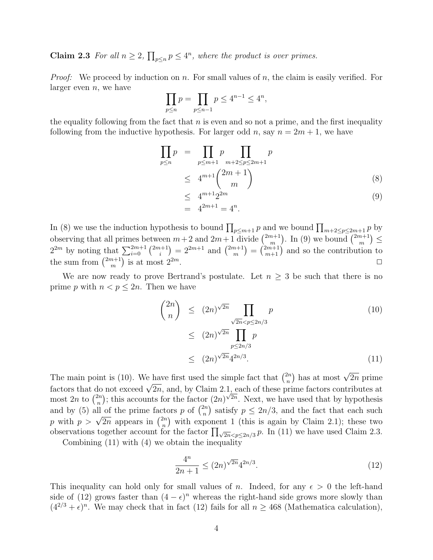**Claim 2.3** For all  $n \geq 2$ ,  $\prod_{p \leq n} p \leq 4^n$ , where the product is over primes.

*Proof:* We proceed by induction on n. For small values of n, the claim is easily verified. For larger even  $n$ , we have

$$
\prod_{p \le n} p = \prod_{p \le n-1} p \le 4^{n-1} \le 4^n,
$$

the equality following from the fact that  $n$  is even and so not a prime, and the first inequality following from the inductive hypothesis. For larger odd n, say  $n = 2m + 1$ , we have

$$
\prod_{p \le n} p = \prod_{p \le m+1} p \prod_{m+2 \le p \le 2m+1} p
$$
\n
$$
\le 4^{m+1} {2m+1 \choose m} \tag{8}
$$
\n
$$
\le 4^{m+1} 2^{2m} \tag{9}
$$

$$
\begin{array}{ll} - & 2 \\ = & 4^{2m+1} = 4^n. \end{array} \tag{3}
$$

In (8) we use the induction hypothesis to bound  $\prod_{p \leq m+1} p$  and we bound  $\prod_{m+2 \leq p \leq 2m+1} p$  by observing that all primes between  $m+2$  and  $2m+1$  divide  $\binom{2m+1}{m}$  $\binom{m+1}{m}$ . In (9) we bound  $\binom{2m+1}{m}$  $_{m}^{n+1}) \leq$  $2^{2m}$  by noting that  $\sum_{i=0}^{2m+1} \binom{2m+1}{i}$  $\binom{n+1}{i} = 2^{2m+1}$  and  $\binom{2m+1}{m}$  $\binom{m+1}{m} = \binom{2m+1}{m+1}$  and so the contribution to the sum from  $\binom{2m+1}{m}$  $\binom{n+1}{m}$ is at most  $2^{2m}$ .

We are now ready to prove Bertrand's postulate. Let  $n \geq 3$  be such that there is no prime p with  $n < p \leq 2n$ . Then we have

$$
\binom{2n}{n} \le (2n)^{\sqrt{2n}} \prod_{\substack{\sqrt{2n} < p \le 2n/3 \\ p \le 2n/3}} p \tag{10}
$$
\n
$$
\le (2n)^{\sqrt{2n}} \prod_{\substack{p \le 2n/3 \\ p \le 4^{2n/3}}} p \tag{11}
$$

The main point is (10). We have first used the simple fact that  $\binom{2n}{n}$  $\binom{2n}{n}$  has at most  $\sqrt{2n}$  prime The main point is (10). We have first used the simple fact that  $\binom{n}{n}$  has at most  $\nabla 2n$  prime factors that do not exceed  $\sqrt{2n}$ , and, by Claim 2.1, each of these prime factors contributes at most 2n to  $\binom{2n}{n}$  $\binom{2n}{n}$ ; this accounts for the factor  $(2n)^{\sqrt{2n}}$ . Next, we have used that by hypothesis and by (5) all of the prime factors p of  $\binom{2n}{n}$  $\binom{2n}{n}$  satisfy  $p \leq 2n/3$ , and the fact that each such and by (5) an of the prime race<br>p with  $p > \sqrt{2n}$  appears in  $\binom{2n}{n}$  $\binom{2n}{n}$  with exponent 1 (this is again by Claim 2.1); these two observations together account for the factor  $\prod_{\sqrt{2n} < p \leq 2n/3} p$ . In (11) we have used Claim 2.3.

Combining (11) with (4) we obtain the inequality

$$
\frac{4^n}{2n+1} \le (2n)^{\sqrt{2n}} 4^{2n/3}.
$$
\n(12)

This inequality can hold only for small values of n. Indeed, for any  $\epsilon > 0$  the left-hand side of (12) grows faster than  $(4 - \epsilon)^n$  whereas the right-hand side grows more slowly than  $(4^{2/3} + \epsilon)^n$ . We may check that in fact (12) fails for all  $n \ge 468$  (Mathematica calculation),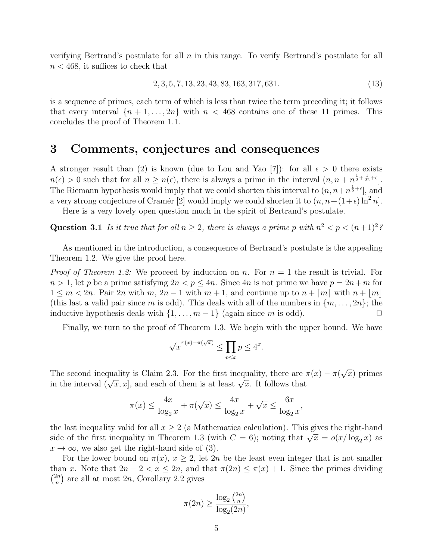verifying Bertrand's postulate for all  $n$  in this range. To verify Bertrand's postulate for all  $n < 468$ , it suffices to check that

$$
2, 3, 5, 7, 13, 23, 43, 83, 163, 317, 631. \tag{13}
$$

is a sequence of primes, each term of which is less than twice the term preceding it; it follows that every interval  $\{n+1,\ldots,2n\}$  with  $n < 468$  contains one of these 11 primes. This concludes the proof of Theorem 1.1.

#### 3 Comments, conjectures and consequences

A stronger result than (2) is known (due to Lou and Yao [7]): for all  $\epsilon > 0$  there exists  $n(\epsilon) > 0$  such that for all  $n \geq n(\epsilon)$ , there is always a prime in the interval  $(n, n + n^{\frac{1}{2} + \frac{1}{22} + \epsilon})$ . The Riemann hypothesis would imply that we could shorten this interval to  $(n, n+n^{\frac{1}{2}+\epsilon}]$ , and a very strong conjecture of Cramér [2] would imply we could shorten it to  $(n, n+(1+\epsilon)\ln^2 n]$ .

Here is a very lovely open question much in the spirit of Bertrand's postulate.

Question 3.1 Is it true that for all  $n \geq 2$ , there is always a prime p with  $n^2 < p < (n+1)^2$ ?

As mentioned in the introduction, a consequence of Bertrand's postulate is the appealing Theorem 1.2. We give the proof here.

*Proof of Theorem 1.2:* We proceed by induction on n. For  $n = 1$  the result is trivial. For  $n > 1$ , let p be a prime satisfying  $2n < p \leq 4n$ . Since 4n is not prime we have  $p = 2n + m$  for  $1 \leq m < 2n$ . Pair 2n with m,  $2n-1$  with  $m+1$ , and continue up to  $n + \lceil m \rceil$  with  $n + \lceil m \rceil$ (this last a valid pair since m is odd). This deals with all of the numbers in  $\{m, \ldots, 2n\}$ ; the inductive hypothesis deals with  $\{1, \ldots, m-1\}$  (again since m is odd).

Finally, we turn to the proof of Theorem 1.3. We begin with the upper bound. We have

$$
\sqrt{x}^{\pi(x)-\pi(\sqrt{x})} \le \prod_{p \le x} p \le 4^x.
$$

The second inequality is Claim 2.3. For the first inequality, there are  $\pi(x) - \pi(x)$ √  $\overline{x}$ ) primes in the interval  $(\sqrt{x}, x]$ , and each of them is at least  $\sqrt{x}$ . It follows that

$$
\pi(x) \le \frac{4x}{\log_2 x} + \pi(\sqrt{x}) \le \frac{4x}{\log_2 x} + \sqrt{x} \le \frac{6x}{\log_2 x},
$$

the last inequality valid for all  $x \geq 2$  (a Mathematica calculation). This gives the right-hand side of the first inequality in Theorem 1.3 (with  $C = 6$ ); noting that  $\sqrt{x} = o(x/\log_2 x)$  as  $x \to \infty$ , we also get the right-hand side of (3).

For the lower bound on  $\pi(x)$ ,  $x \geq 2$ , let  $2n$  be the least even integer that is not smaller than x. Note that  $2n - 2 < x \leq 2n$ , and that  $\pi(2n) \leq \pi(x) + 1$ . Since the primes dividing  $\binom{2n}{n}$  $\binom{2n}{n}$  are all at most  $2n$ , Corollary 2.2 gives

$$
\pi(2n) \ge \frac{\log_2\binom{2n}{n}}{\log_2(2n)},
$$